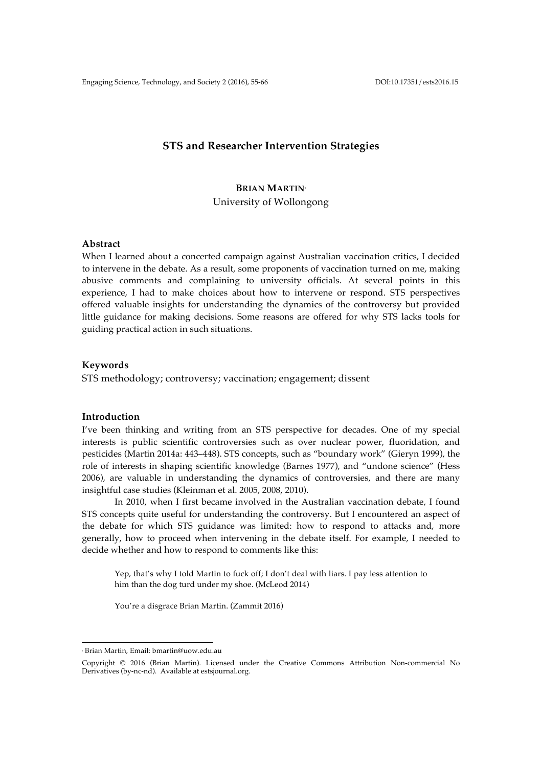# **STS and Researcher Intervention Strategies**

# **BRIAN MARTIN**<sup>1</sup> University of Wollongong

## **Abstract**

When I learned about a concerted campaign against Australian vaccination critics, I decided to intervene in the debate. As a result, some proponents of vaccination turned on me, making abusive comments and complaining to university officials. At several points in this experience, I had to make choices about how to intervene or respond. STS perspectives offered valuable insights for understanding the dynamics of the controversy but provided little guidance for making decisions. Some reasons are offered for why STS lacks tools for guiding practical action in such situations.

### **Keywords**

STS methodology; controversy; vaccination; engagement; dissent

#### **Introduction**

I've been thinking and writing from an STS perspective for decades. One of my special interests is public scientific controversies such as over nuclear power, fluoridation, and pesticides (Martin 2014a: 443–448). STS concepts, such as "boundary work" (Gieryn 1999), the role of interests in shaping scientific knowledge (Barnes 1977), and "undone science" (Hess 2006), are valuable in understanding the dynamics of controversies, and there are many insightful case studies (Kleinman et al. 2005, 2008, 2010).

In 2010, when I first became involved in the Australian vaccination debate, I found STS concepts quite useful for understanding the controversy. But I encountered an aspect of the debate for which STS guidance was limited: how to respond to attacks and, more generally, how to proceed when intervening in the debate itself. For example, I needed to decide whether and how to respond to comments like this:

Yep, that's why I told Martin to fuck off; I don't deal with liars. I pay less attention to him than the dog turd under my shoe. (McLeod 2014)

You're a disgrace Brian Martin. (Zammit 2016)

 $\overline{a}$ 

<sup>1</sup> Brian Martin, Email: bmartin@uow.edu.au

Copyright © 2016 (Brian Martin). Licensed under the Creative Commons Attribution Non-commercial No Derivatives (by-nc-nd). Available at estsjournal.org.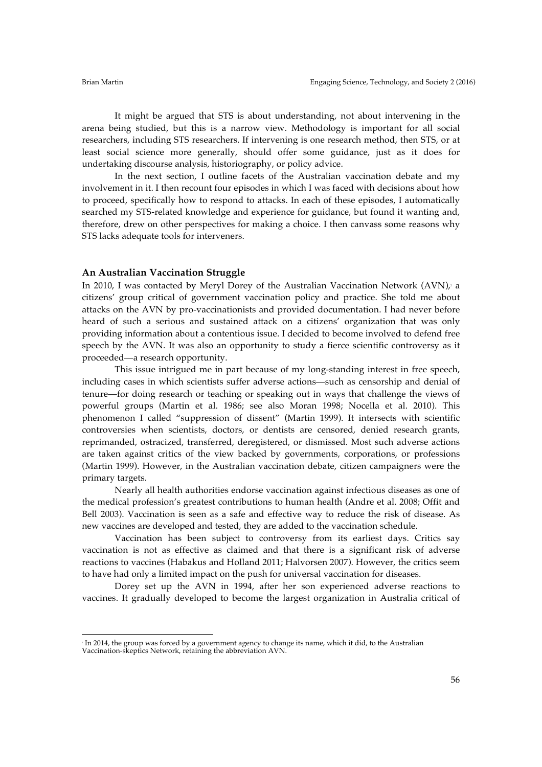$\overline{a}$ 

It might be argued that STS is about understanding, not about intervening in the arena being studied, but this is a narrow view. Methodology is important for all social researchers, including STS researchers. If intervening is one research method, then STS, or at least social science more generally, should offer some guidance, just as it does for undertaking discourse analysis, historiography, or policy advice.

In the next section, I outline facets of the Australian vaccination debate and my involvement in it. I then recount four episodes in which I was faced with decisions about how to proceed, specifically how to respond to attacks. In each of these episodes, I automatically searched my STS-related knowledge and experience for guidance, but found it wanting and, therefore, drew on other perspectives for making a choice. I then canvass some reasons why STS lacks adequate tools for interveners.

#### **An Australian Vaccination Struggle**

In 2010, I was contacted by Meryl Dorey of the Australian Vaccination Network  $(AVN)_i$  a citizens' group critical of government vaccination policy and practice. She told me about attacks on the AVN by pro-vaccinationists and provided documentation. I had never before heard of such a serious and sustained attack on a citizens' organization that was only providing information about a contentious issue. I decided to become involved to defend free speech by the AVN. It was also an opportunity to study a fierce scientific controversy as it proceeded—a research opportunity.

This issue intrigued me in part because of my long-standing interest in free speech, including cases in which scientists suffer adverse actions—such as censorship and denial of tenure—for doing research or teaching or speaking out in ways that challenge the views of powerful groups (Martin et al. 1986; see also Moran 1998; Nocella et al. 2010). This phenomenon I called "suppression of dissent" (Martin 1999). It intersects with scientific controversies when scientists, doctors, or dentists are censored, denied research grants, reprimanded, ostracized, transferred, deregistered, or dismissed. Most such adverse actions are taken against critics of the view backed by governments, corporations, or professions (Martin 1999). However, in the Australian vaccination debate, citizen campaigners were the primary targets.

Nearly all health authorities endorse vaccination against infectious diseases as one of the medical profession's greatest contributions to human health (Andre et al. 2008; Offit and Bell 2003). Vaccination is seen as a safe and effective way to reduce the risk of disease. As new vaccines are developed and tested, they are added to the vaccination schedule.

Vaccination has been subject to controversy from its earliest days. Critics say vaccination is not as effective as claimed and that there is a significant risk of adverse reactions to vaccines (Habakus and Holland 2011; Halvorsen 2007). However, the critics seem to have had only a limited impact on the push for universal vaccination for diseases.

Dorey set up the AVN in 1994, after her son experienced adverse reactions to vaccines. It gradually developed to become the largest organization in Australia critical of

<sup>&</sup>lt;sup>2</sup> In 2014, the group was forced by a government agency to change its name, which it did, to the Australian Vaccination-skeptics Network, retaining the abbreviation AVN.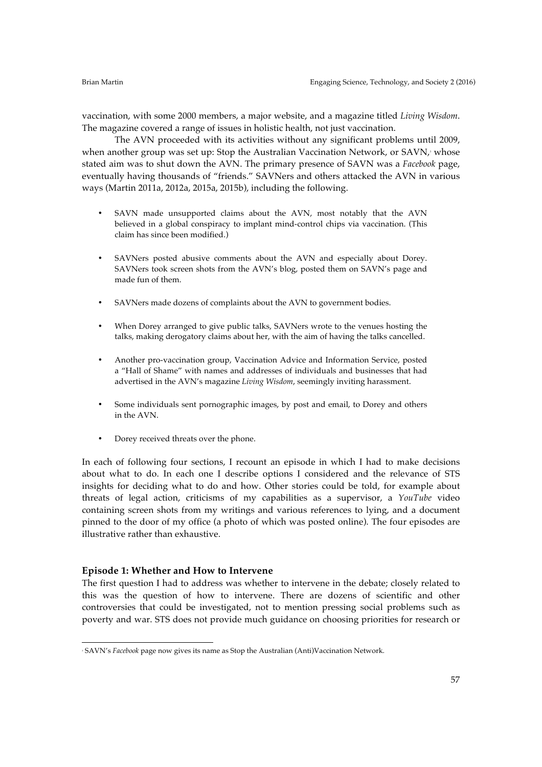vaccination, with some 2000 members, a major website, and a magazine titled *Living Wisdom*. The magazine covered a range of issues in holistic health, not just vaccination.

The AVN proceeded with its activities without any significant problems until 2009, when another group was set up: Stop the Australian Vaccination Network, or SAVN, $\gamma$  whose stated aim was to shut down the AVN. The primary presence of SAVN was a *Facebook* page, eventually having thousands of "friends." SAVNers and others attacked the AVN in various ways (Martin 2011a, 2012a, 2015a, 2015b), including the following.

- SAVN made unsupported claims about the AVN, most notably that the AVN believed in a global conspiracy to implant mind-control chips via vaccination. (This claim has since been modified.)
- SAVNers posted abusive comments about the AVN and especially about Dorey. SAVNers took screen shots from the AVN's blog, posted them on SAVN's page and made fun of them.
- SAVNers made dozens of complaints about the AVN to government bodies.
- When Dorey arranged to give public talks, SAVNers wrote to the venues hosting the talks, making derogatory claims about her, with the aim of having the talks cancelled.
- Another pro-vaccination group, Vaccination Advice and Information Service, posted a "Hall of Shame" with names and addresses of individuals and businesses that had advertised in the AVN's magazine *Living Wisdom*, seemingly inviting harassment.
- Some individuals sent pornographic images, by post and email, to Dorey and others in the AVN.
- Dorey received threats over the phone.

In each of following four sections, I recount an episode in which I had to make decisions about what to do. In each one I describe options I considered and the relevance of STS insights for deciding what to do and how. Other stories could be told, for example about threats of legal action, criticisms of my capabilities as a supervisor, a *YouTube* video containing screen shots from my writings and various references to lying, and a document pinned to the door of my office (a photo of which was posted online). The four episodes are illustrative rather than exhaustive.

### **Episode 1: Whether and How to Intervene**

 $\overline{a}$ 

The first question I had to address was whether to intervene in the debate; closely related to this was the question of how to intervene. There are dozens of scientific and other controversies that could be investigated, not to mention pressing social problems such as poverty and war. STS does not provide much guidance on choosing priorities for research or

<sup>3</sup> SAVN's *Facebook* page now gives its name as Stop the Australian (Anti)Vaccination Network.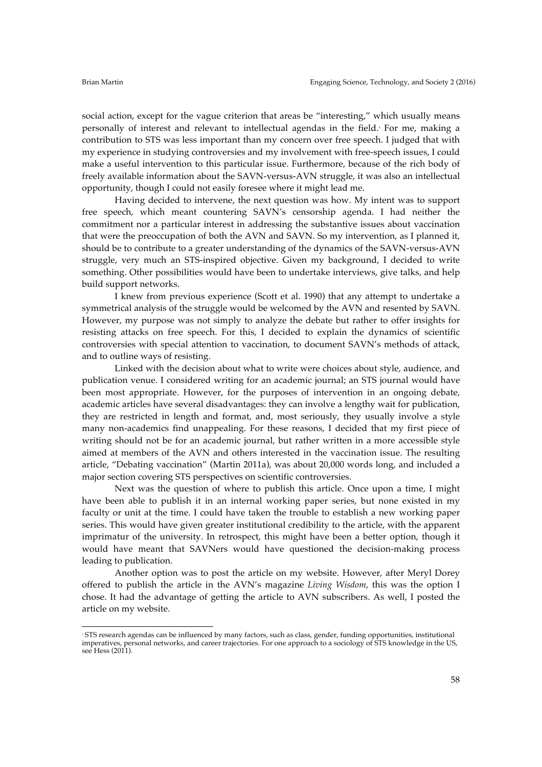social action, except for the vague criterion that areas be "interesting," which usually means personally of interest and relevant to intellectual agendas in the field. For me, making a contribution to STS was less important than my concern over free speech. I judged that with my experience in studying controversies and my involvement with free-speech issues, I could make a useful intervention to this particular issue. Furthermore, because of the rich body of freely available information about the SAVN-versus-AVN struggle, it was also an intellectual opportunity, though I could not easily foresee where it might lead me.

Having decided to intervene, the next question was how. My intent was to support free speech, which meant countering SAVN's censorship agenda. I had neither the commitment nor a particular interest in addressing the substantive issues about vaccination that were the preoccupation of both the AVN and SAVN. So my intervention, as I planned it, should be to contribute to a greater understanding of the dynamics of the SAVN-versus-AVN struggle, very much an STS-inspired objective. Given my background, I decided to write something. Other possibilities would have been to undertake interviews, give talks, and help build support networks.

I knew from previous experience (Scott et al. 1990) that any attempt to undertake a symmetrical analysis of the struggle would be welcomed by the AVN and resented by SAVN. However, my purpose was not simply to analyze the debate but rather to offer insights for resisting attacks on free speech. For this, I decided to explain the dynamics of scientific controversies with special attention to vaccination, to document SAVN's methods of attack, and to outline ways of resisting.

Linked with the decision about what to write were choices about style, audience, and publication venue. I considered writing for an academic journal; an STS journal would have been most appropriate. However, for the purposes of intervention in an ongoing debate, academic articles have several disadvantages: they can involve a lengthy wait for publication, they are restricted in length and format, and, most seriously, they usually involve a style many non-academics find unappealing. For these reasons, I decided that my first piece of writing should not be for an academic journal, but rather written in a more accessible style aimed at members of the AVN and others interested in the vaccination issue. The resulting article, "Debating vaccination" (Martin 2011a), was about 20,000 words long, and included a major section covering STS perspectives on scientific controversies.

Next was the question of where to publish this article. Once upon a time, I might have been able to publish it in an internal working paper series, but none existed in my faculty or unit at the time. I could have taken the trouble to establish a new working paper series. This would have given greater institutional credibility to the article, with the apparent imprimatur of the university. In retrospect, this might have been a better option, though it would have meant that SAVNers would have questioned the decision-making process leading to publication.

Another option was to post the article on my website. However, after Meryl Dorey offered to publish the article in the AVN's magazine *Living Wisdom*, this was the option I chose. It had the advantage of getting the article to AVN subscribers. As well, I posted the article on my website.

 $\overline{a}$ <sup>4</sup> STS research agendas can be influenced by many factors, such as class, gender, funding opportunities, institutional imperatives, personal networks, and career trajectories. For one approach to a sociology of STS knowledge in the US, see Hess (2011).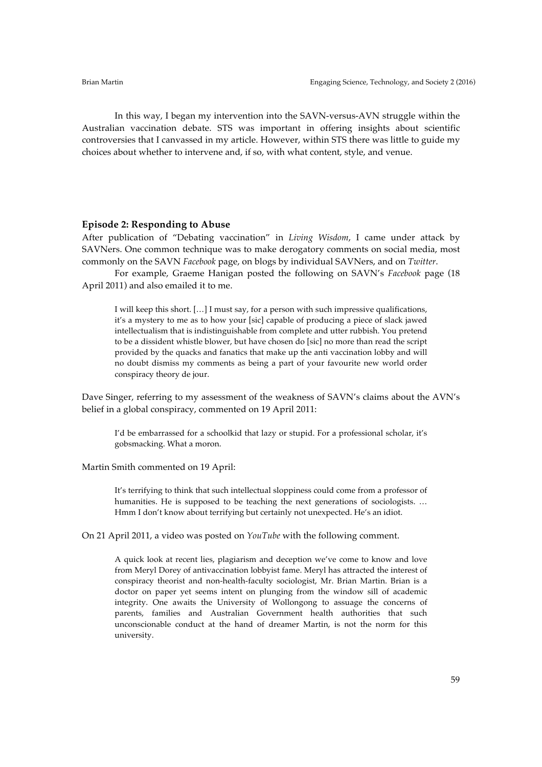In this way, I began my intervention into the SAVN-versus-AVN struggle within the Australian vaccination debate. STS was important in offering insights about scientific controversies that I canvassed in my article. However, within STS there was little to guide my choices about whether to intervene and, if so, with what content, style, and venue.

#### **Episode 2: Responding to Abuse**

After publication of "Debating vaccination" in *Living Wisdom*, I came under attack by SAVNers. One common technique was to make derogatory comments on social media, most commonly on the SAVN *Facebook* page, on blogs by individual SAVNers, and on *Twitter*.

For example, Graeme Hanigan posted the following on SAVN's *Facebook* page (18 April 2011) and also emailed it to me.

I will keep this short. […] I must say, for a person with such impressive qualifications, it's a mystery to me as to how your [sic] capable of producing a piece of slack jawed intellectualism that is indistinguishable from complete and utter rubbish. You pretend to be a dissident whistle blower, but have chosen do [sic] no more than read the script provided by the quacks and fanatics that make up the anti vaccination lobby and will no doubt dismiss my comments as being a part of your favourite new world order conspiracy theory de jour.

Dave Singer, referring to my assessment of the weakness of SAVN's claims about the AVN's belief in a global conspiracy, commented on 19 April 2011:

I'd be embarrassed for a schoolkid that lazy or stupid. For a professional scholar, it's gobsmacking. What a moron.

Martin Smith commented on 19 April:

It's terrifying to think that such intellectual sloppiness could come from a professor of humanities. He is supposed to be teaching the next generations of sociologists. ... Hmm I don't know about terrifying but certainly not unexpected. He's an idiot.

On 21 April 2011, a video was posted on *YouTube* with the following comment.

A quick look at recent lies, plagiarism and deception we've come to know and love from Meryl Dorey of antivaccination lobbyist fame. Meryl has attracted the interest of conspiracy theorist and non-health-faculty sociologist, Mr. Brian Martin. Brian is a doctor on paper yet seems intent on plunging from the window sill of academic integrity. One awaits the University of Wollongong to assuage the concerns of parents, families and Australian Government health authorities that such unconscionable conduct at the hand of dreamer Martin, is not the norm for this university.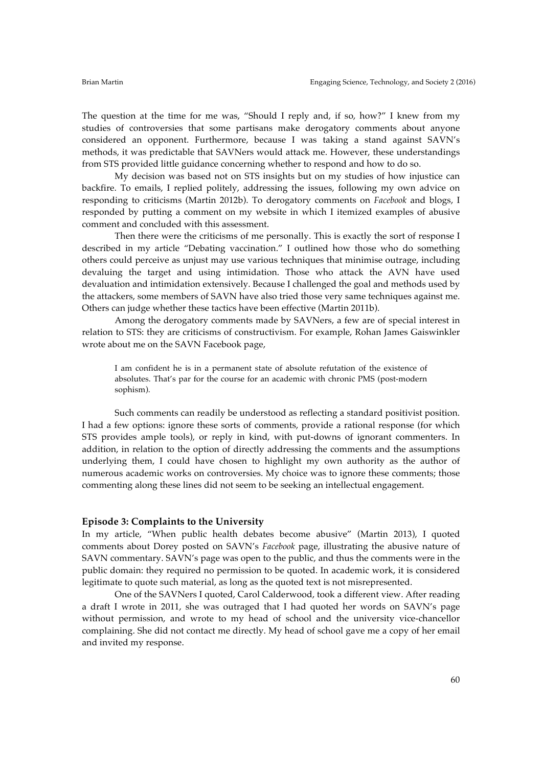The question at the time for me was, "Should I reply and, if so, how?" I knew from my studies of controversies that some partisans make derogatory comments about anyone considered an opponent. Furthermore, because I was taking a stand against SAVN's methods, it was predictable that SAVNers would attack me. However, these understandings from STS provided little guidance concerning whether to respond and how to do so.

My decision was based not on STS insights but on my studies of how injustice can backfire. To emails, I replied politely, addressing the issues, following my own advice on responding to criticisms (Martin 2012b). To derogatory comments on *Facebook* and blogs, I responded by putting a comment on my website in which I itemized examples of abusive comment and concluded with this assessment.

Then there were the criticisms of me personally. This is exactly the sort of response I described in my article "Debating vaccination." I outlined how those who do something others could perceive as unjust may use various techniques that minimise outrage, including devaluing the target and using intimidation. Those who attack the AVN have used devaluation and intimidation extensively. Because I challenged the goal and methods used by the attackers, some members of SAVN have also tried those very same techniques against me. Others can judge whether these tactics have been effective (Martin 2011b).

Among the derogatory comments made by SAVNers, a few are of special interest in relation to STS: they are criticisms of constructivism. For example, Rohan James Gaiswinkler wrote about me on the SAVN Facebook page,

I am confident he is in a permanent state of absolute refutation of the existence of absolutes. That's par for the course for an academic with chronic PMS (post-modern sophism).

Such comments can readily be understood as reflecting a standard positivist position. I had a few options: ignore these sorts of comments, provide a rational response (for which STS provides ample tools), or reply in kind, with put-downs of ignorant commenters. In addition, in relation to the option of directly addressing the comments and the assumptions underlying them, I could have chosen to highlight my own authority as the author of numerous academic works on controversies. My choice was to ignore these comments; those commenting along these lines did not seem to be seeking an intellectual engagement.

#### **Episode 3: Complaints to the University**

In my article, "When public health debates become abusive" (Martin 2013), I quoted comments about Dorey posted on SAVN's *Facebook* page, illustrating the abusive nature of SAVN commentary. SAVN's page was open to the public, and thus the comments were in the public domain: they required no permission to be quoted. In academic work, it is considered legitimate to quote such material, as long as the quoted text is not misrepresented.

One of the SAVNers I quoted, Carol Calderwood, took a different view. After reading a draft I wrote in 2011, she was outraged that I had quoted her words on SAVN's page without permission, and wrote to my head of school and the university vice-chancellor complaining. She did not contact me directly. My head of school gave me a copy of her email and invited my response.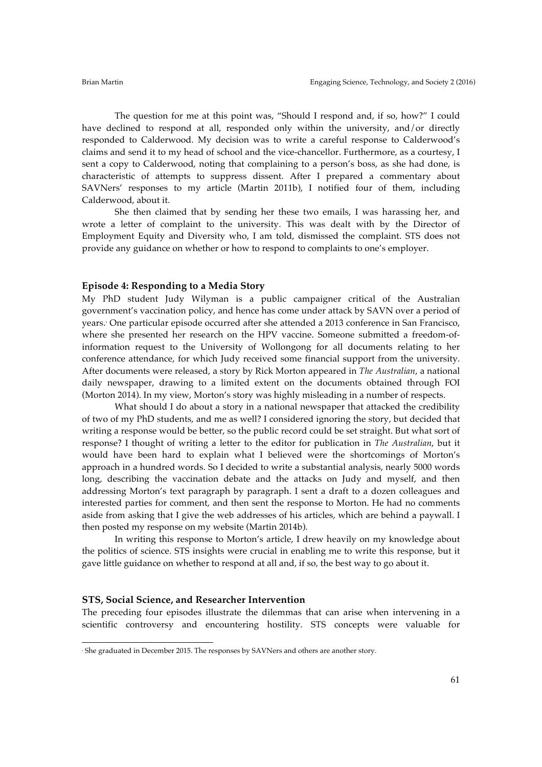The question for me at this point was, "Should I respond and, if so, how?" I could have declined to respond at all, responded only within the university, and/or directly responded to Calderwood. My decision was to write a careful response to Calderwood's claims and send it to my head of school and the vice-chancellor. Furthermore, as a courtesy, I sent a copy to Calderwood, noting that complaining to a person's boss, as she had done, is characteristic of attempts to suppress dissent. After I prepared a commentary about SAVNers' responses to my article (Martin 2011b), I notified four of them, including Calderwood, about it.

She then claimed that by sending her these two emails, I was harassing her, and wrote a letter of complaint to the university. This was dealt with by the Director of Employment Equity and Diversity who, I am told, dismissed the complaint. STS does not provide any guidance on whether or how to respond to complaints to one's employer.

#### **Episode 4: Responding to a Media Story**

My PhD student Judy Wilyman is a public campaigner critical of the Australian government's vaccination policy, and hence has come under attack by SAVN over a period of years.<sup>5</sup> One particular episode occurred after she attended a 2013 conference in San Francisco, where she presented her research on the HPV vaccine. Someone submitted a freedom-ofinformation request to the University of Wollongong for all documents relating to her conference attendance, for which Judy received some financial support from the university. After documents were released, a story by Rick Morton appeared in *The Australian*, a national daily newspaper, drawing to a limited extent on the documents obtained through FOI (Morton 2014). In my view, Morton's story was highly misleading in a number of respects.

What should I do about a story in a national newspaper that attacked the credibility of two of my PhD students, and me as well? I considered ignoring the story, but decided that writing a response would be better, so the public record could be set straight. But what sort of response? I thought of writing a letter to the editor for publication in *The Australian*, but it would have been hard to explain what I believed were the shortcomings of Morton's approach in a hundred words. So I decided to write a substantial analysis, nearly 5000 words long, describing the vaccination debate and the attacks on Judy and myself, and then addressing Morton's text paragraph by paragraph. I sent a draft to a dozen colleagues and interested parties for comment, and then sent the response to Morton. He had no comments aside from asking that I give the web addresses of his articles, which are behind a paywall. I then posted my response on my website (Martin 2014b).

In writing this response to Morton's article, I drew heavily on my knowledge about the politics of science. STS insights were crucial in enabling me to write this response, but it gave little guidance on whether to respond at all and, if so, the best way to go about it.

#### **STS, Social Science, and Researcher Intervention**

 $\overline{a}$ 

The preceding four episodes illustrate the dilemmas that can arise when intervening in a scientific controversy and encountering hostility. STS concepts were valuable for

<sup>5</sup> She graduated in December 2015. The responses by SAVNers and others are another story.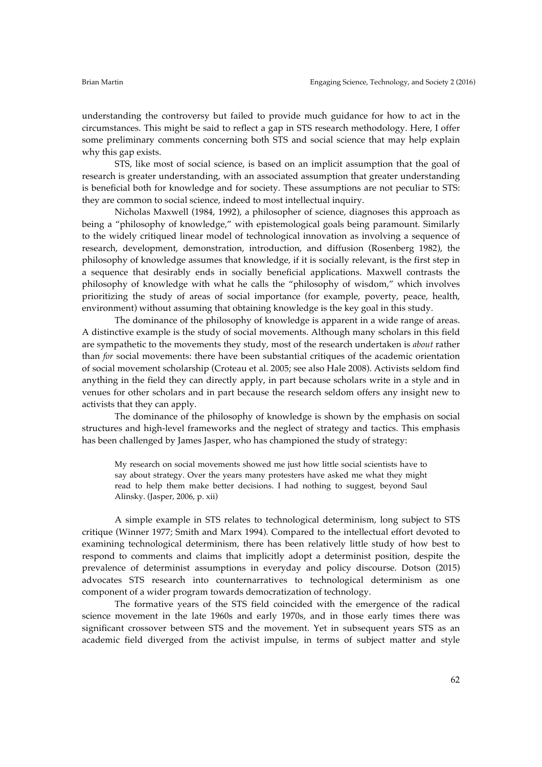understanding the controversy but failed to provide much guidance for how to act in the circumstances. This might be said to reflect a gap in STS research methodology. Here, I offer some preliminary comments concerning both STS and social science that may help explain why this gap exists.

STS, like most of social science, is based on an implicit assumption that the goal of research is greater understanding, with an associated assumption that greater understanding is beneficial both for knowledge and for society. These assumptions are not peculiar to STS: they are common to social science, indeed to most intellectual inquiry.

Nicholas Maxwell (1984, 1992), a philosopher of science, diagnoses this approach as being a "philosophy of knowledge," with epistemological goals being paramount. Similarly to the widely critiqued linear model of technological innovation as involving a sequence of research, development, demonstration, introduction, and diffusion (Rosenberg 1982), the philosophy of knowledge assumes that knowledge, if it is socially relevant, is the first step in a sequence that desirably ends in socially beneficial applications. Maxwell contrasts the philosophy of knowledge with what he calls the "philosophy of wisdom," which involves prioritizing the study of areas of social importance (for example, poverty, peace, health, environment) without assuming that obtaining knowledge is the key goal in this study.

The dominance of the philosophy of knowledge is apparent in a wide range of areas. A distinctive example is the study of social movements. Although many scholars in this field are sympathetic to the movements they study, most of the research undertaken is *about* rather than *for* social movements: there have been substantial critiques of the academic orientation of social movement scholarship (Croteau et al. 2005; see also Hale 2008). Activists seldom find anything in the field they can directly apply, in part because scholars write in a style and in venues for other scholars and in part because the research seldom offers any insight new to activists that they can apply.

The dominance of the philosophy of knowledge is shown by the emphasis on social structures and high-level frameworks and the neglect of strategy and tactics. This emphasis has been challenged by James Jasper, who has championed the study of strategy:

My research on social movements showed me just how little social scientists have to say about strategy. Over the years many protesters have asked me what they might read to help them make better decisions. I had nothing to suggest, beyond Saul Alinsky. (Jasper, 2006, p. xii)

A simple example in STS relates to technological determinism, long subject to STS critique (Winner 1977; Smith and Marx 1994). Compared to the intellectual effort devoted to examining technological determinism, there has been relatively little study of how best to respond to comments and claims that implicitly adopt a determinist position, despite the prevalence of determinist assumptions in everyday and policy discourse. Dotson (2015) advocates STS research into counternarratives to technological determinism as one component of a wider program towards democratization of technology.

The formative years of the STS field coincided with the emergence of the radical science movement in the late 1960s and early 1970s, and in those early times there was significant crossover between STS and the movement. Yet in subsequent years STS as an academic field diverged from the activist impulse, in terms of subject matter and style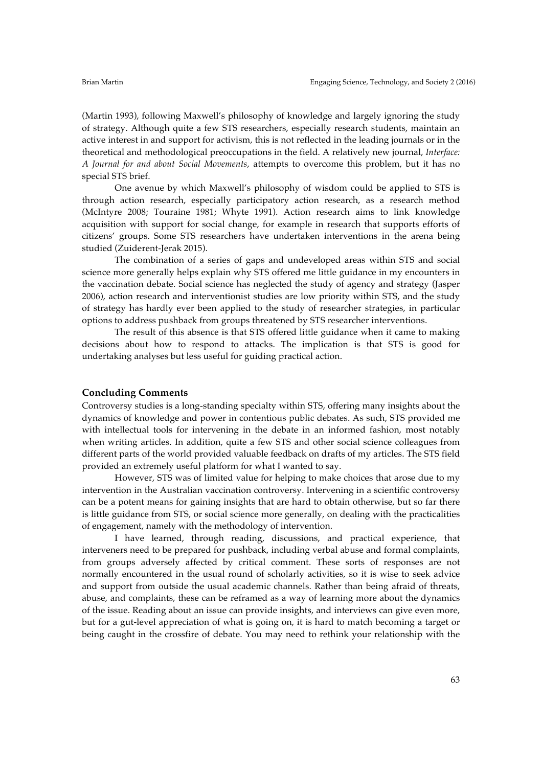(Martin 1993), following Maxwell's philosophy of knowledge and largely ignoring the study of strategy. Although quite a few STS researchers, especially research students, maintain an active interest in and support for activism, this is not reflected in the leading journals or in the theoretical and methodological preoccupations in the field. A relatively new journal, *Interface: A Journal for and about Social Movements*, attempts to overcome this problem, but it has no special STS brief.

One avenue by which Maxwell's philosophy of wisdom could be applied to STS is through action research, especially participatory action research, as a research method (McIntyre 2008; Touraine 1981; Whyte 1991). Action research aims to link knowledge acquisition with support for social change, for example in research that supports efforts of citizens' groups. Some STS researchers have undertaken interventions in the arena being studied (Zuiderent-Jerak 2015).

The combination of a series of gaps and undeveloped areas within STS and social science more generally helps explain why STS offered me little guidance in my encounters in the vaccination debate. Social science has neglected the study of agency and strategy (Jasper 2006), action research and interventionist studies are low priority within STS, and the study of strategy has hardly ever been applied to the study of researcher strategies, in particular options to address pushback from groups threatened by STS researcher interventions.

The result of this absence is that STS offered little guidance when it came to making decisions about how to respond to attacks. The implication is that STS is good for undertaking analyses but less useful for guiding practical action.

### **Concluding Comments**

Controversy studies is a long-standing specialty within STS, offering many insights about the dynamics of knowledge and power in contentious public debates. As such, STS provided me with intellectual tools for intervening in the debate in an informed fashion, most notably when writing articles. In addition, quite a few STS and other social science colleagues from different parts of the world provided valuable feedback on drafts of my articles. The STS field provided an extremely useful platform for what I wanted to say.

However, STS was of limited value for helping to make choices that arose due to my intervention in the Australian vaccination controversy. Intervening in a scientific controversy can be a potent means for gaining insights that are hard to obtain otherwise, but so far there is little guidance from STS, or social science more generally, on dealing with the practicalities of engagement, namely with the methodology of intervention.

I have learned, through reading, discussions, and practical experience, that interveners need to be prepared for pushback, including verbal abuse and formal complaints, from groups adversely affected by critical comment. These sorts of responses are not normally encountered in the usual round of scholarly activities, so it is wise to seek advice and support from outside the usual academic channels. Rather than being afraid of threats, abuse, and complaints, these can be reframed as a way of learning more about the dynamics of the issue. Reading about an issue can provide insights, and interviews can give even more, but for a gut-level appreciation of what is going on, it is hard to match becoming a target or being caught in the crossfire of debate. You may need to rethink your relationship with the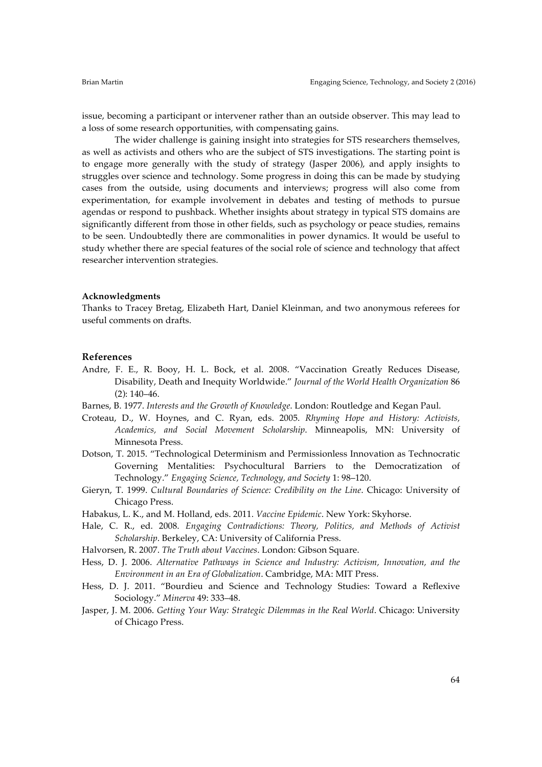issue, becoming a participant or intervener rather than an outside observer. This may lead to a loss of some research opportunities, with compensating gains.

The wider challenge is gaining insight into strategies for STS researchers themselves, as well as activists and others who are the subject of STS investigations. The starting point is to engage more generally with the study of strategy (Jasper 2006), and apply insights to struggles over science and technology. Some progress in doing this can be made by studying cases from the outside, using documents and interviews; progress will also come from experimentation, for example involvement in debates and testing of methods to pursue agendas or respond to pushback. Whether insights about strategy in typical STS domains are significantly different from those in other fields, such as psychology or peace studies, remains to be seen. Undoubtedly there are commonalities in power dynamics. It would be useful to study whether there are special features of the social role of science and technology that affect researcher intervention strategies.

#### **Acknowledgments**

Thanks to Tracey Bretag, Elizabeth Hart, Daniel Kleinman, and two anonymous referees for useful comments on drafts.

### **References**

- Andre, F. E., R. Booy, H. L. Bock, et al. 2008. "Vaccination Greatly Reduces Disease, Disability, Death and Inequity Worldwide." *Journal of the World Health Organization* 86 (2): 140–46.
- Barnes, B. 1977. *Interests and the Growth of Knowledge*. London: Routledge and Kegan Paul.
- Croteau, D., W. Hoynes, and C. Ryan, eds. 2005. *Rhyming Hope and History: Activists, Academics, and Social Movement Scholarship*. Minneapolis, MN: University of Minnesota Press.
- Dotson, T. 2015. "Technological Determinism and Permissionless Innovation as Technocratic Governing Mentalities: Psychocultural Barriers to the Democratization of Technology." *Engaging Science, Technology, and Society* 1: 98–120.
- Gieryn, T. 1999. *Cultural Boundaries of Science: Credibility on the Line*. Chicago: University of Chicago Press.
- Habakus, L. K., and M. Holland, eds. 2011. *Vaccine Epidemic*. New York: Skyhorse.
- Hale, C. R., ed. 2008. *Engaging Contradictions: Theory, Politics, and Methods of Activist Scholarship*. Berkeley, CA: University of California Press.
- Halvorsen, R. 2007. *The Truth about Vaccines*. London: Gibson Square.
- Hess, D. J. 2006. *Alternative Pathways in Science and Industry: Activism, Innovation, and the Environment in an Era of Globalization*. Cambridge, MA: MIT Press.
- Hess, D. J. 2011. "Bourdieu and Science and Technology Studies: Toward a Reflexive Sociology." *Minerva* 49: 333–48.
- Jasper, J. M. 2006. *Getting Your Way: Strategic Dilemmas in the Real World*. Chicago: University of Chicago Press.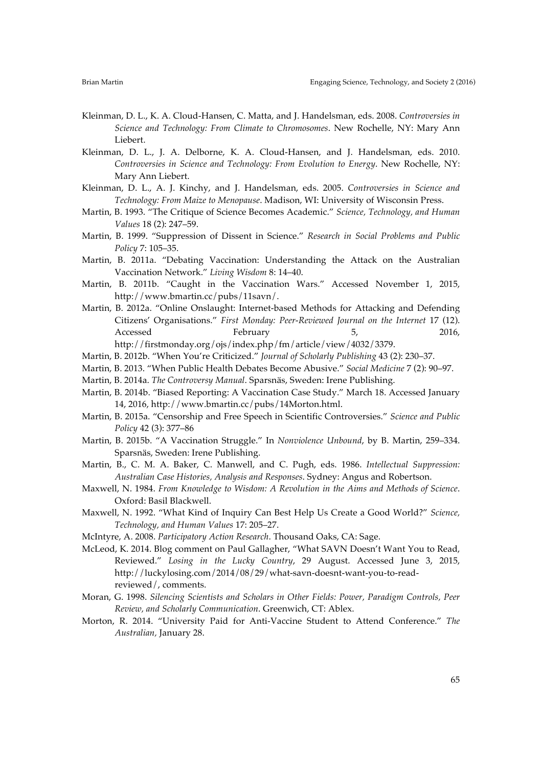- Kleinman, D. L., K. A. Cloud-Hansen, C. Matta, and J. Handelsman, eds. 2008. *Controversies in Science and Technology: From Climate to Chromosomes*. New Rochelle, NY: Mary Ann Liebert.
- Kleinman, D. L., J. A. Delborne, K. A. Cloud-Hansen, and J. Handelsman, eds. 2010. *Controversies in Science and Technology: From Evolution to Energy*. New Rochelle, NY: Mary Ann Liebert.
- Kleinman, D. L., A. J. Kinchy, and J. Handelsman, eds. 2005. *Controversies in Science and Technology: From Maize to Menopause*. Madison, WI: University of Wisconsin Press.
- Martin, B. 1993. "The Critique of Science Becomes Academic." *Science, Technology, and Human Values* 18 (2): 247–59.
- Martin, B. 1999. "Suppression of Dissent in Science." *Research in Social Problems and Public Policy* 7: 105–35.
- Martin, B. 2011a. "Debating Vaccination: Understanding the Attack on the Australian Vaccination Network." *Living Wisdom* 8: 14–40.
- Martin, B. 2011b. "Caught in the Vaccination Wars." Accessed November 1, 2015, http://www.bmartin.cc/pubs/11savn/.
- Martin, B. 2012a. "Online Onslaught: Internet-based Methods for Attacking and Defending Citizens' Organisations." *First Monday: Peer-Reviewed Journal on the Internet* 17 (12). Accessed February 5, 2016, http://firstmonday.org/ojs/index.php/fm/article/view/4032/3379.
- Martin, B. 2012b. "When You're Criticized." *Journal of Scholarly Publishing* 43 (2): 230–37.
- Martin, B. 2013. "When Public Health Debates Become Abusive." *Social Medicine* 7 (2): 90–97.
- Martin, B. 2014a. *The Controversy Manual*. Sparsnäs, Sweden: Irene Publishing.
- Martin, B. 2014b. "Biased Reporting: A Vaccination Case Study." March 18. Accessed January 14, 2016, http://www.bmartin.cc/pubs/14Morton.html.
- Martin, B. 2015a. "Censorship and Free Speech in Scientific Controversies." *Science and Public Policy* 42 (3): 377–86
- Martin, B. 2015b. "A Vaccination Struggle." In *Nonviolence Unbound*, by B. Martin, 259–334. Sparsnäs, Sweden: Irene Publishing.
- Martin, B., C. M. A. Baker, C. Manwell, and C. Pugh, eds. 1986. *Intellectual Suppression: Australian Case Histories, Analysis and Responses*. Sydney: Angus and Robertson.
- Maxwell, N. 1984. *From Knowledge to Wisdom: A Revolution in the Aims and Methods of Science*. Oxford: Basil Blackwell.
- Maxwell, N. 1992. "What Kind of Inquiry Can Best Help Us Create a Good World?" *Science, Technology, and Human Values* 17: 205–27.
- McIntyre, A. 2008. *Participatory Action Research*. Thousand Oaks, CA: Sage.
- McLeod, K. 2014. Blog comment on Paul Gallagher, "What SAVN Doesn't Want You to Read, Reviewed." *Losing in the Lucky Country*, 29 August. Accessed June 3, 2015, http://luckylosing.com/2014/08/29/what-savn-doesnt-want-you-to-readreviewed/, comments.
- Moran, G. 1998. *Silencing Scientists and Scholars in Other Fields: Power, Paradigm Controls, Peer Review, and Scholarly Communication*. Greenwich, CT: Ablex.
- Morton, R. 2014. "University Paid for Anti-Vaccine Student to Attend Conference." *The Australian,* January 28.